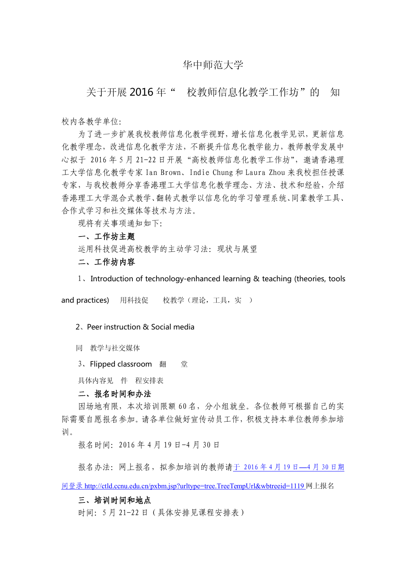# 华中师范大学

关于开展 2016 年" 校教师信息化教学工作坊"的 知

校内各教学单位:

为了进一步扩展我校教师信息化教学视野,增长信息化教学见识,更新信息 化教学理念,改进信息化教学方法,不断提升信息化教学能力,教师教学发展中 心拟于 2016年5月 21-22日开展"高校教师信息化教学工作坊",邀请香港理 工大学信息化教学专家 Ian Brown、Indie Chung 和 Laura Zhou 来我校担任授课 专家,与我校教师分享香港理工大学信息化教学理念、方法、技术和经验,介绍 香港理工大学混合式教学、翻转式教学以信息化的学习管理系统、同辈教学工具、 合作式学习和社交媒体等技术与方法。

现将有关事项通知如下:

#### 一、工作坊主题

运用科技促进高校教学的主动学习法:现状与展望

# 二、工作坊内容

1、Introduction of technology-enhanced learning & teaching (theories, tools

and practices) 用科技促 校教学(理论,工具,实)

#### 2、Peer instruction & Social media

同 教学与社交媒体

3、Flipped classroom 翻 堂

具体内容见 件 程安排表

### 二、报名时间和办法

因场地有限,本次培训限额 60 名,分小组就坐。各位教师可根据自己的实 际需要自愿报名参加。请各单位做好宣传动员工作,积极支持本单位教师参加培 训。

报名时间:2016 年 4 月 19 日-4 月 30 日

报名办法:网上报名,拟参加培训的教师请于 [2016](��N�   2 0 1 6^t 3g 2 8e�  4g 8e�g��v{_U h t t p : / / c t l d . c c n u . e d u . c n / a p p l y�ۈLb�T
) 年 4 月 19 日—4 月 30 日期

[间登录](��N�   2 0 1 6^t 3g 2 8e�  4g 8e�g��v{_U h t t p : / / c t l d . c c n u . e d u . c n / a p p l y�ۈLb�T
) <http://ctld.ccnu.edu.cn/pxbm.jsp?urltype=tree.TreeTempUrl&wbtreeid=1119> 网上报名

#### 三、培训时间和地点

时间:5 月 21-22 日(具体安排见课程安排表)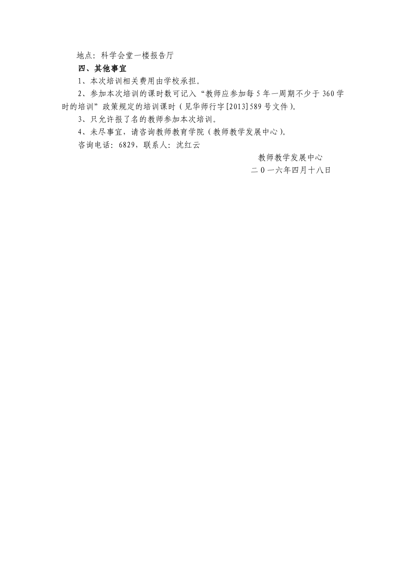地点:科学会堂一楼报告厅

## 四、其他事宜

1、本次培训相关费用由学校承担。

2、参加本次培训的课时数可记入"教师应参加每 5 年一周期不少于 360 学 时的培训"政策规定的培训课时(见华师行字[2013]589 号文件)。

3、只允许报了名的教师参加本次培训。

4、未尽事宜,请咨询教师教育学院(教师教学发展中心)。

咨询电话:6829,联系人:沈红云

教师教学发展中心

二 O 一六年四月十八日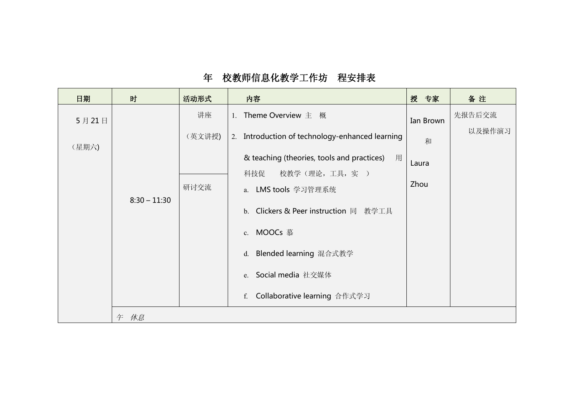| 日期    | 时              | 活动形式   | 内容                                              | 授 专家      | 备注     |
|-------|----------------|--------|-------------------------------------------------|-----------|--------|
| 5月21日 |                | 讲座     | 1. Theme Overview 主 概                           | Ian Brown | 先报告后交流 |
| (星期六) |                | (英文讲授) | 2. Introduction of technology-enhanced learning | 和         | 以及操作演习 |
|       |                |        | & teaching (theories, tools and practices)<br>用 | Laura     |        |
|       |                | 研讨交流   | 校教学(理论,工具,实)<br>科技促<br>a. LMS tools 学习管理系统      | Zhou      |        |
|       | $8:30 - 11:30$ |        | b. Clickers & Peer instruction 同 教学工具           |           |        |
|       |                |        | c. MOOCs 慕                                      |           |        |
|       |                |        | Blended learning 混合式教学<br>$d_{\cdot}$           |           |        |
|       |                |        | e. Social media 社交媒体                            |           |        |
|       |                |        | Collaborative learning 合作式学习<br>f.              |           |        |
|       | 午 休息           |        |                                                 |           |        |

# 年 校教师信息化教学工作坊 程安排表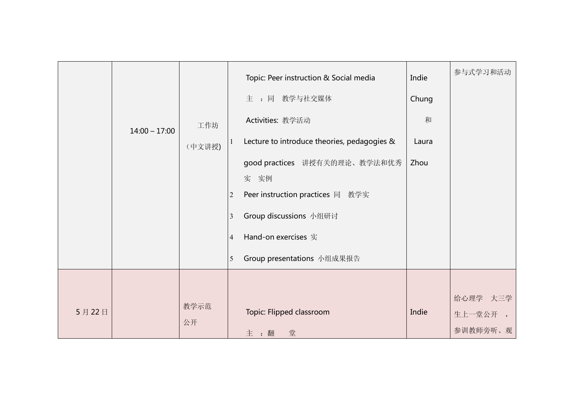|       | $14:00 - 17:00$ | 工作坊<br>(中文讲授) | Topic: Peer instruction & Social media<br>主:同 教学与社交媒体<br>Activities: 教学活动<br>Lecture to introduce theories, pedagogies &<br>good practices 讲授有关的理论、教学法和优秀<br>实 实例<br>Peer instruction practices 同 教学实<br>$\overline{2}$<br>Group discussions 小组研讨<br>3<br>Hand-on exercises 实<br>$\vert 4$<br>Group presentations 小组成果报告<br>5 | Indie<br>Chung<br>和<br>Laura<br>Zhou | 参与式学习和活动                        |
|-------|-----------------|---------------|-------------------------------------------------------------------------------------------------------------------------------------------------------------------------------------------------------------------------------------------------------------------------------------------------------------------------------|--------------------------------------|---------------------------------|
| 5月22日 |                 | 教学示范<br>公开    | Topic: Flipped classroom<br>主:翻<br>堂                                                                                                                                                                                                                                                                                          | Indie                                | 给心理学 大三学<br>生上一堂公开,<br>参训教师旁听、观 |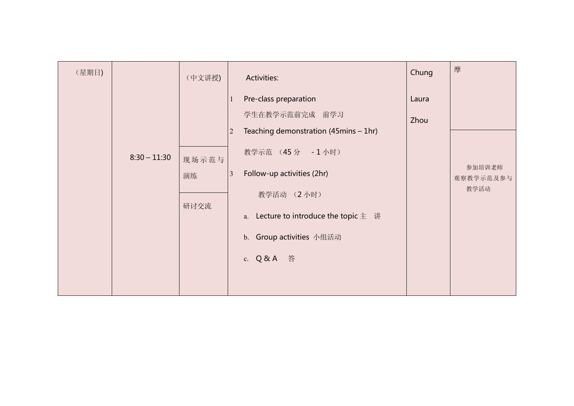| 摩<br>Chung<br>(星期日)<br>(中文讲授)<br>Activities:<br>Pre-class preparation<br>Laura<br>学生在教学示范前完成 前学习<br>Zhou<br>Teaching demonstration (45mins - 1hr)<br>$\overline{2}$<br>教学示范 (45分 - 1小时)<br>$8:30 - 11:30$<br>现场示范与<br>参加培训老师<br>Follow-up activities (2hr)<br>$\vert 3 \vert$<br>演练<br>观察教学示范及参与<br>教学活动<br>教学活动 (2小时)<br>研讨交流<br>a. Lecture to introduce the topic $\pm$ #<br>b. Group activities 小组活动 |
|---------------------------------------------------------------------------------------------------------------------------------------------------------------------------------------------------------------------------------------------------------------------------------------------------------------------------------------------------------------------------------------------------------|
|                                                                                                                                                                                                                                                                                                                                                                                                         |
| c. Q&A 答                                                                                                                                                                                                                                                                                                                                                                                                |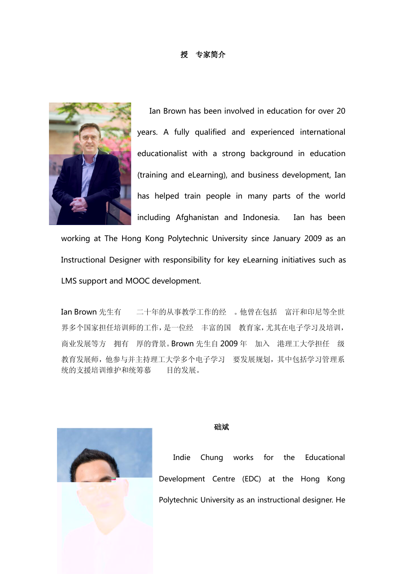## 授 专家简介



Ian Brown has been involved in education for over 20 years. A fully qualified and experienced international educationalist with a strong background in education (training and eLearning), and business development, Ian has helped train people in many parts of the world including Afghanistan and Indonesia. Ian has been

working at The Hong Kong Polytechnic University since January 2009 as an Instructional Designer with responsibility for key eLearning initiatives such as LMS support and MOOC development.

Ian Brown 先生有 二十年的从事教学工作的经 。他曾在包括 富汗和印尼等全世 界多个国家担任培训师的工作,是一位经 丰富的国 教育家,尤其在电子学习及培训, 商业发展等方 拥有 厚的背景。Brown 先生自 2009 年 加入 港理工大学担任 级 教育发展师,他参与并主持理工大学多个电子学习 要发展规划,其中包括学习管理系 统的支援培训维护和统筹慕 目的发展。



#### 钟础斌

Indie Chung works for the Educational Development Centre (EDC) at the Hong Kong Polytechnic University as an instructional designer. He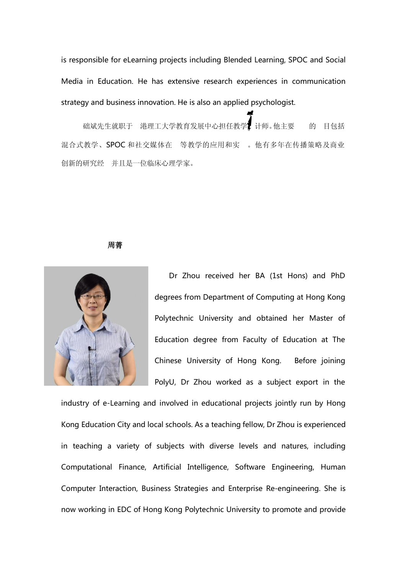is responsible for eLearning projects including Blended Learning, SPOC and Social Media in Education. He has extensive research experiences in communication strategy and business innovation. He is also an applied psychologist.

础斌先生就职于 港理工大学教育发展中心担任教学设计师。他主要 的 目包括 混合式教学、SPOC 和社交媒体在 等教学的应用和实 。他有多年在传播策略及商业 创新的研究经 并且是一位临床心理学家。

**周菁** そうしゃ しんしゃ しんしゃ しんしゃ しんしゃ



Dr Zhou received her BA (1st Hons) and PhD degrees from Department of Computing at Hong Kong Polytechnic University and obtained her Master of Education degree from Faculty of Education at The Chinese University of Hong Kong. Before joining PolyU, Dr Zhou worked as a subject export in the

industry of e-Learning and involved in educational projects jointly run by Hong Kong Education City and local schools. As a teaching fellow, Dr Zhou is experienced in teaching a variety of subjects with diverse levels and natures, including Computational Finance, Artificial Intelligence, Software Engineering, Human Computer Interaction, Business Strategies and Enterprise Re-engineering. She is now working in EDC of Hong Kong Polytechnic University to promote and provide